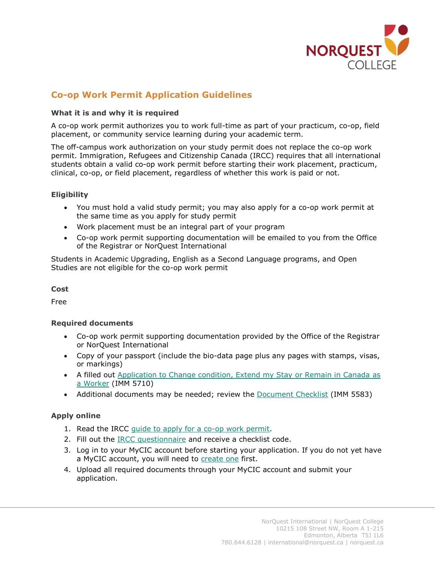

# **Co-op Work Permit Application Guidelines**

#### **What it is and why it is required**

A co-op work permit authorizes you to work full-time as part of your practicum, co-op, field placement, or community service learning during your academic term.

The off-campus work authorization on your study permit does not replace the co-op work permit. Immigration, Refugees and Citizenship Canada (IRCC) requires that all international students obtain a valid co-op work permit before starting their work placement, practicum, clinical, co-op, or field placement, regardless of whether this work is paid or not.

## **Eligibility**

- You must hold a valid study permit; you may also apply for a co-op work permit at the same time as you apply for study permit
- Work placement must be an integral part of your program
- Co-op work permit supporting documentation will be emailed to you from the Office of the Registrar or NorQuest International

Students in Academic Upgrading, English as a Second Language programs, and Open Studies are not eligible for the co-op work permit

**Cost**

Free

#### **Required documents**

- Co-op work permit supporting documentation provided by the Office of the Registrar or NorQuest International
- Copy of your passport (include the bio-data page plus any pages with stamps, visas, or markings)
- A filled out [Application to Change condition, Extend my Stay or Remain in Canada](https://www.canada.ca/content/dam/ircc/migration/ircc/english/pdf/kits/forms/imm5710e.pdf) as [a Worker](https://www.canada.ca/content/dam/ircc/migration/ircc/english/pdf/kits/forms/imm5710e.pdf) (IMM 5710)
- Additional documents may be needed; review the [Document Checklist](https://www.canada.ca/content/dam/ircc/migration/ircc/english/pdf/kits/forms/imm5583e.pdf) (IMM 5583)

## **Apply online**

- 1. Read the IRCC [guide to apply for a co-op work permit.](https://www.canada.ca/en/immigration-refugees-citizenship/services/application/application-forms-guides/guide-5580-applying-work-permit-student-guide.html)
- 2. Fill out the **IRCC** questionnaire and receive a checklist code.
- 3. Log in to your MyCIC account before starting your application. If you do not yet have a MyCIC account, you will need to [create one](https://www.canada.ca/en/immigration-refugees-citizenship/services/application/account.html) first.
- 4. Upload all required documents through your MyCIC account and submit your application.